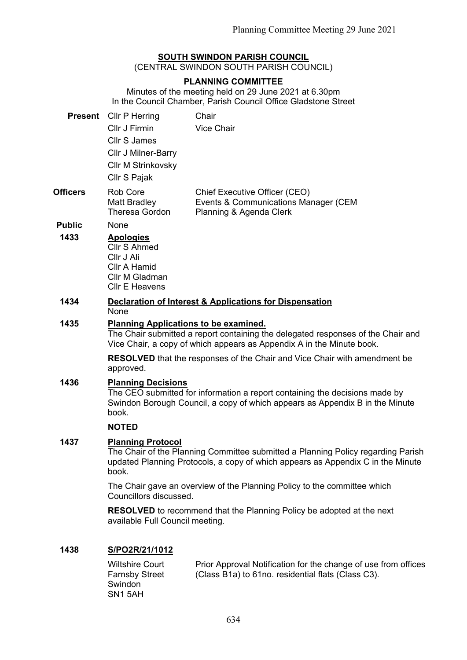## **SOUTH SWINDON PARISH COUNCIL**

(CENTRAL SWINDON SOUTH PARISH COUNCIL)

## **PLANNING COMMITTEE**

Minutes of the meeting held on 29 June 2021 at 6.30pm In the Council Chamber, Parish Council Office Gladstone Street

|                 | <b>Present</b> Cllr P Herring<br>Cllr J Firmin<br><b>Cllr S James</b><br><b>CIIr J Milner-Barry</b><br><b>Cllr M Strinkovsky</b><br>Cllr S Pajak                                                          | Chair<br><b>Vice Chair</b>                                                                       |  |
|-----------------|-----------------------------------------------------------------------------------------------------------------------------------------------------------------------------------------------------------|--------------------------------------------------------------------------------------------------|--|
| <b>Officers</b> | <b>Rob Core</b><br>Matt Bradley<br>Theresa Gordon                                                                                                                                                         | Chief Executive Officer (CEO)<br>Events & Communications Manager (CEM<br>Planning & Agenda Clerk |  |
| <b>Public</b>   | None                                                                                                                                                                                                      |                                                                                                  |  |
| 1433            | <b>Apologies</b><br><b>Cllr S Ahmed</b><br>Cllr J Ali<br>Cllr A Hamid<br>Cllr M Gladman<br><b>CIIr E Heavens</b>                                                                                          |                                                                                                  |  |
| 1434            | <b>Declaration of Interest &amp; Applications for Dispensation</b><br><b>None</b>                                                                                                                         |                                                                                                  |  |
| 1435            | <b>Planning Applications to be examined.</b><br>The Chair submitted a report containing the delegated responses of the Chair and<br>Vice Chair, a copy of which appears as Appendix A in the Minute book. |                                                                                                  |  |
|                 | approved.                                                                                                                                                                                                 | <b>RESOLVED</b> that the responses of the Chair and Vice Chair with amendment be                 |  |
| 1436            | <b>Planning Decisions</b><br>The CEO submitted for information a report containing the decisions made by<br>Swindon Borough Council, a copy of which appears as Appendix B in the Minute<br>book.         |                                                                                                  |  |
|                 | <b>NOTED</b>                                                                                                                                                                                              |                                                                                                  |  |
| 1437            | <b>Planning Protocol</b><br>The Chair of the Planning Committee submitted a Planning Policy regarding Parish<br>updated Planning Protocols, a copy of which appears as Appendix C in the Minute<br>book.  |                                                                                                  |  |
|                 | Councillors discussed.                                                                                                                                                                                    | The Chair gave an overview of the Planning Policy to the committee which                         |  |
|                 | available Full Council meeting.                                                                                                                                                                           | <b>RESOLVED</b> to recommend that the Planning Policy be adopted at the next                     |  |
|                 |                                                                                                                                                                                                           |                                                                                                  |  |

## **1438 S/PO2R/21/1012**

| Wiltshire Court       | Prior Approval Notification for the change of use from offices |
|-----------------------|----------------------------------------------------------------|
| <b>Farnsby Street</b> | (Class B1a) to 61no. residential flats (Class C3).             |
| Swindon               |                                                                |
| SN <sub>1</sub> 5AH   |                                                                |